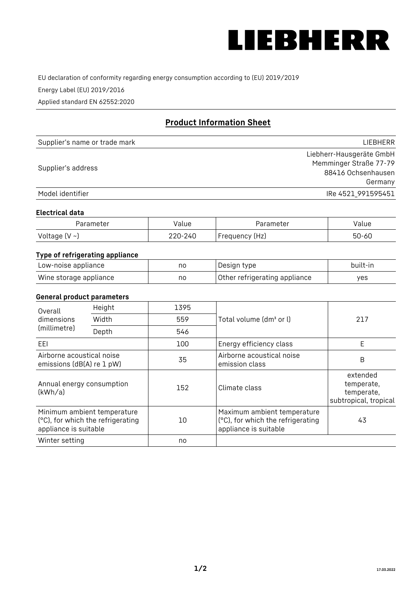

EU declaration of conformity regarding energy consumption according to (EU) 2019/2019

Energy Label (EU) 2019/2016

Applied standard EN 62552:2020

# **Product Information Sheet**

| Supplier's name or trade mark | <b>LIFBHFRR</b>          |
|-------------------------------|--------------------------|
|                               | Liebherr-Hausgeräte GmbH |
| Supplier's address            | Memminger Straße 77-79   |
|                               | 88416 Ochsenhausen       |
|                               | Germany                  |
| Model identifier              | IRe 4521 991595451       |

#### **Electrical data**

| Parameter          | Value   | Parameter      | alue  |
|--------------------|---------|----------------|-------|
| Voltage $(V \sim)$ | 220-240 | Frequency (Hz) | 50-60 |

## **Type of refrigerating appliance**

| Low-noise appliance    | no | Design type                   | built-in |
|------------------------|----|-------------------------------|----------|
| Wine storage appliance | nc | Other refrigerating appliance | ves      |

## **General product parameters**

| Height<br>Overall                                      |                                                                  | 1395 |                                                                                           |                                                               |
|--------------------------------------------------------|------------------------------------------------------------------|------|-------------------------------------------------------------------------------------------|---------------------------------------------------------------|
| dimensions<br>(millimetre)                             | Width                                                            | 559  | Total volume (dm <sup>3</sup> or l)                                                       | 217                                                           |
|                                                        | Depth                                                            | 546  |                                                                                           |                                                               |
| EEL                                                    |                                                                  | 100  | Energy efficiency class                                                                   | E                                                             |
| Airborne acoustical noise<br>emissions (dB(A) re 1 pW) |                                                                  | 35   | Airborne acoustical noise<br>emission class                                               | B                                                             |
| Annual energy consumption<br>(kWh/a)                   |                                                                  | 152  | Climate class                                                                             | extended<br>temperate,<br>temperate,<br>subtropical, tropical |
| appliance is suitable                                  | Minimum ambient temperature<br>(°C), for which the refrigerating | 10   | Maximum ambient temperature<br>(°C), for which the refrigerating<br>appliance is suitable | 43                                                            |
| Winter setting                                         |                                                                  | no   |                                                                                           |                                                               |